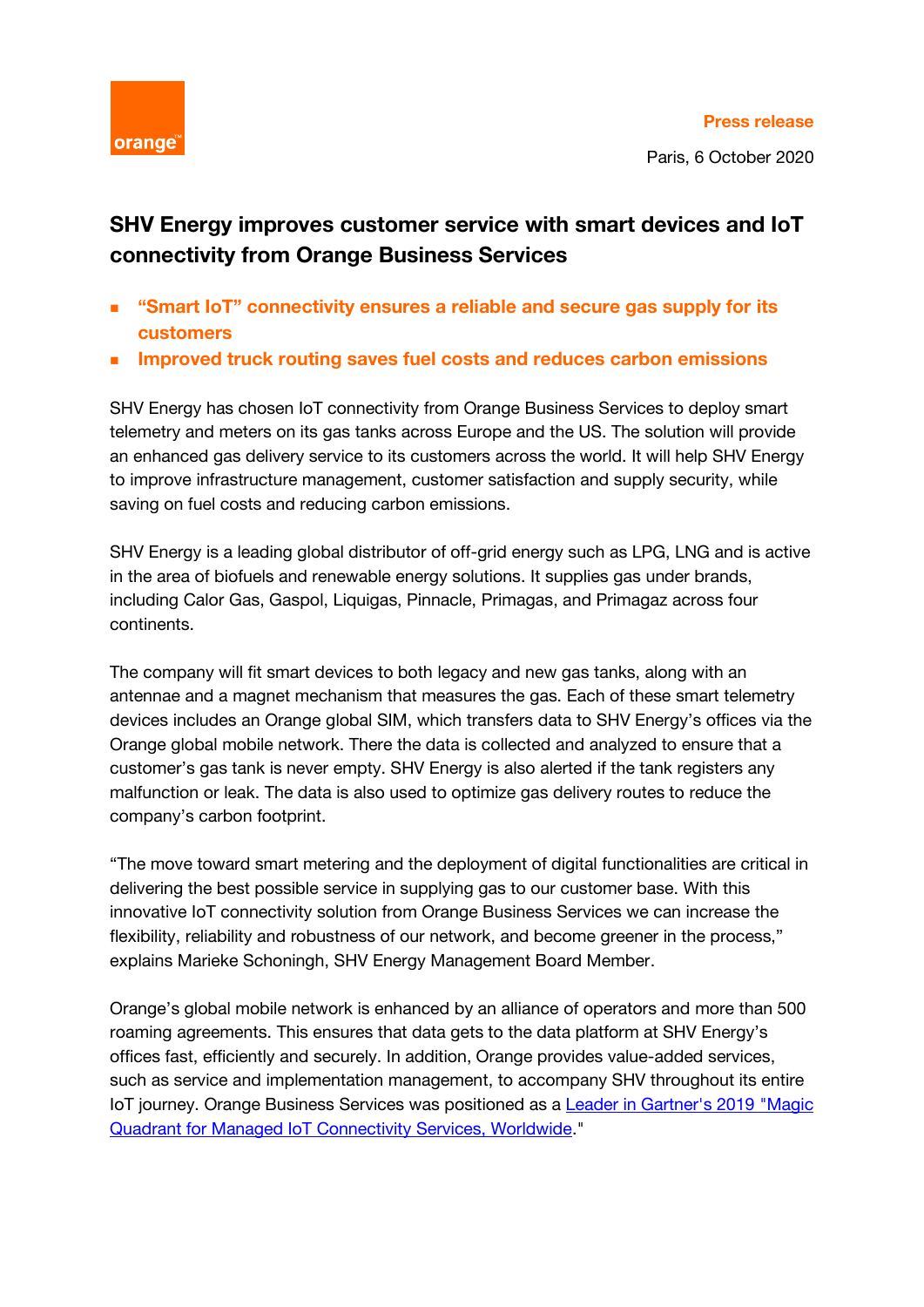

Paris, 6 October 2020

## **SHV Energy improves customer service with smart devices and IoT connectivity from Orange Business Services**

- **"Smart IoT" connectivity ensures a reliable and secure gas supply for its customers**
- **Improved truck routing saves fuel costs and reduces carbon emissions**

SHV Energy has chosen IoT connectivity from Orange Business Services to deploy smart telemetry and meters on its gas tanks across Europe and the US. The solution will provide an enhanced gas delivery service to its customers across the world. It will help SHV Energy to improve infrastructure management, customer satisfaction and supply security, while saving on fuel costs and reducing carbon emissions.

SHV Energy is a leading global distributor of off-grid energy such as LPG, LNG and is active in the area of biofuels and renewable energy solutions. It supplies gas under brands, including Calor Gas, Gaspol, Liquigas, Pinnacle, Primagas, and Primagaz across four continents.

The company will fit smart devices to both legacy and new gas tanks, along with an antennae and a magnet mechanism that measures the gas. Each of these smart telemetry devices includes an Orange global SIM, which transfers data to SHV Energy's offices via the Orange global mobile network. There the data is collected and analyzed to ensure that a customer's gas tank is never empty. SHV Energy is also alerted if the tank registers any malfunction or leak. The data is also used to optimize gas delivery routes to reduce the company's carbon footprint.

"The move toward smart metering and the deployment of digital functionalities are critical in delivering the best possible service in supplying gas to our customer base. With this innovative IoT connectivity solution from Orange Business Services we can increase the flexibility, reliability and robustness of our network, and become greener in the process," explains Marieke Schoningh, SHV Energy Management Board Member.

Orange's global mobile network is enhanced by an alliance of operators and more than 500 roaming agreements. This ensures that data gets to the data platform at SHV Energy's offices fast, efficiently and securely. In addition, Orange provides value-added services, such as service and implementation management, to accompany SHV throughout its entire IoT journey. Orange Business Services was positioned as a [Leader in Gartner's 2019](https://www.orange-business.com/en/gartner-magic-quadrant-managed-iot-connectivity-services-worldwide-december-2019) "Magic [Quadrant for Managed IoT Connectivity Services, Worldwide.](https://www.orange-business.com/en/gartner-magic-quadrant-managed-iot-connectivity-services-worldwide-december-2019)"